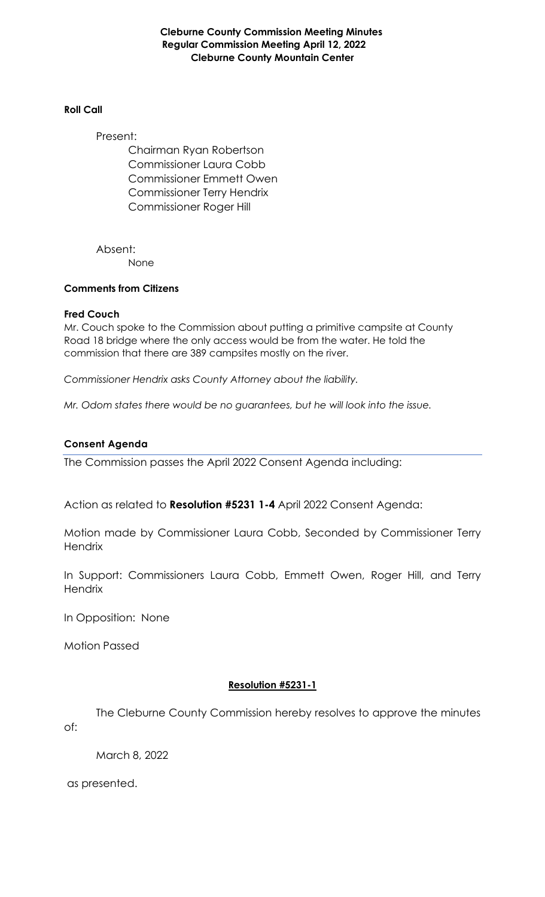**Cleburne County Commission Meeting Minutes Regular Commission Meeting April 12, 2022 Cleburne County Mountain Center**

#### **Roll Call**

Present: Chairman Ryan Robertson Commissioner Laura Cobb Commissioner Emmett Owen Commissioner Terry Hendrix Commissioner Roger Hill

Absent: None

#### **Comments from Citizens**

#### **Fred Couch**

Mr. Couch spoke to the Commission about putting a primitive campsite at County Road 18 bridge where the only access would be from the water. He told the commission that there are 389 campsites mostly on the river.

*Commissioner Hendrix asks County Attorney about the liability.*

*Mr. Odom states there would be no guarantees, but he will look into the issue.*

## **Consent Agenda**

The Commission passes the April 2022 Consent Agenda including:

Action as related to **Resolution #5231 1-4** April 2022 Consent Agenda:

Motion made by Commissioner Laura Cobb, Seconded by Commissioner Terry **Hendrix** 

In Support: Commissioners Laura Cobb, Emmett Owen, Roger Hill, and Terry **Hendrix** 

In Opposition: None

Motion Passed

## **Resolution #5231-1**

The Cleburne County Commission hereby resolves to approve the minutes of:

March 8, 2022

as presented.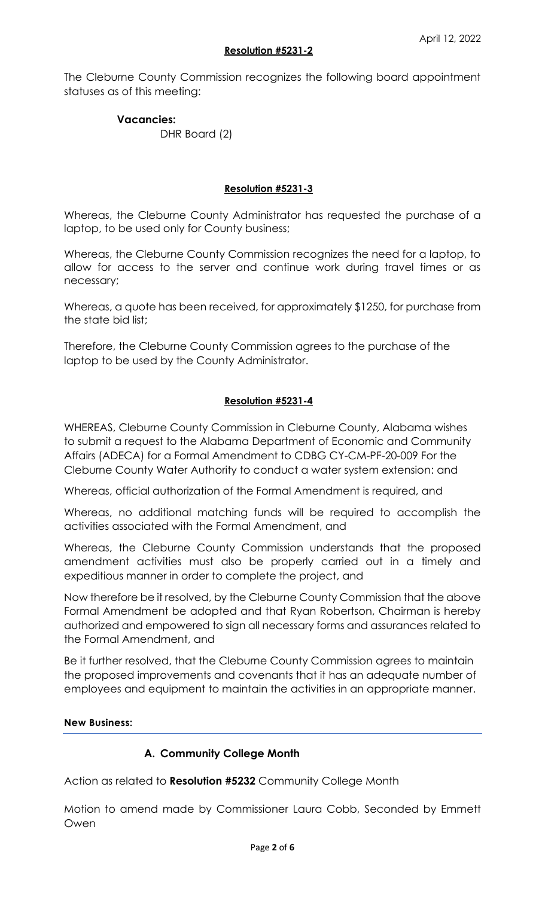The Cleburne County Commission recognizes the following board appointment statuses as of this meeting:

## **Vacancies:**

DHR Board (2)

#### **Resolution #5231-3**

Whereas, the Cleburne County Administrator has requested the purchase of a laptop, to be used only for County business;

Whereas, the Cleburne County Commission recognizes the need for a laptop, to allow for access to the server and continue work during travel times or as necessary;

Whereas, a quote has been received, for approximately \$1250, for purchase from the state bid list;

Therefore, the Cleburne County Commission agrees to the purchase of the laptop to be used by the County Administrator.

## **Resolution #5231-4**

WHEREAS, Cleburne County Commission in Cleburne County, Alabama wishes to submit a request to the Alabama Department of Economic and Community Affairs (ADECA) for a Formal Amendment to CDBG CY-CM-PF-20-009 For the Cleburne County Water Authority to conduct a water system extension: and

Whereas, official authorization of the Formal Amendment is required, and

Whereas, no additional matching funds will be required to accomplish the activities associated with the Formal Amendment, and

Whereas, the Cleburne County Commission understands that the proposed amendment activities must also be properly carried out in a timely and expeditious manner in order to complete the project, and

Now therefore be it resolved, by the Cleburne County Commission that the above Formal Amendment be adopted and that Ryan Robertson, Chairman is hereby authorized and empowered to sign all necessary forms and assurances related to the Formal Amendment, and

Be it further resolved, that the Cleburne County Commission agrees to maintain the proposed improvements and covenants that it has an adequate number of employees and equipment to maintain the activities in an appropriate manner.

#### **New Business:**

## **A. Community College Month**

Action as related to **Resolution #5232** Community College Month

Motion to amend made by Commissioner Laura Cobb, Seconded by Emmett Owen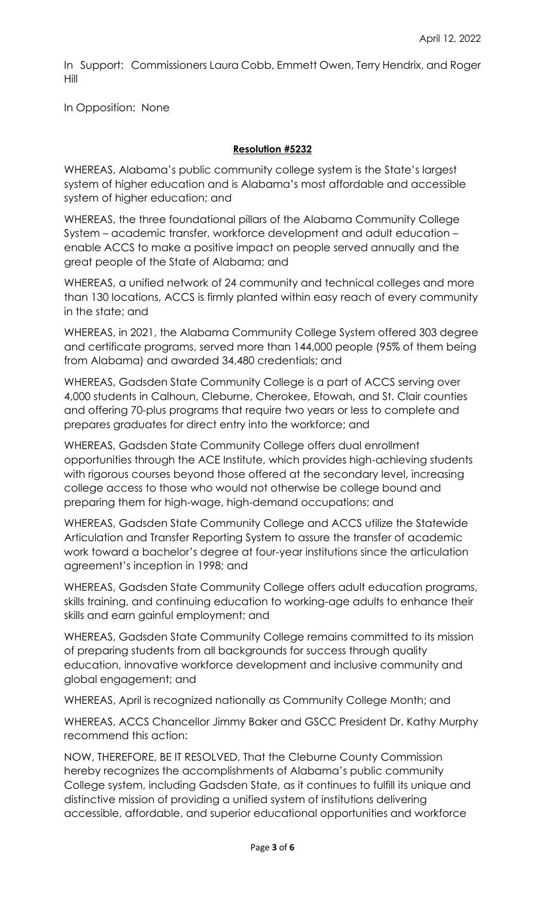In Support: Commissioners Laura Cobb, Emmett Owen, Terry Hendrix, and Roger Hill

In Opposition: None

#### **Resolution #5232**

WHEREAS, Alabama's public community college system is the State's largest system of higher education and is Alabama's most affordable and accessible system of higher education; and

WHEREAS, the three foundational pillars of the Alabama Community College System – academic transfer, workforce development and adult education – enable ACCS to make a positive impact on people served annually and the great people of the State of Alabama; and

WHEREAS, a unified network of 24 community and technical colleges and more than 130 locations, ACCS is firmly planted within easy reach of every community in the state; and

WHEREAS, in 2021, the Alabama Community College System offered 303 degree and certificate programs, served more than 144,000 people (95% of them being from Alabama) and awarded 34,480 credentials; and

WHEREAS, Gadsden State Community College is a part of ACCS serving over 4,000 students in Calhoun, Cleburne, Cherokee, Etowah, and St. Clair counties and offering 70-plus programs that require two years or less to complete and prepares graduates for direct entry into the workforce; and

WHEREAS, Gadsden State Community College offers dual enrollment opportunities through the ACE Institute, which provides high-achieving students with rigorous courses beyond those offered at the secondary level, increasing college access to those who would not otherwise be college bound and preparing them for high-wage, high-demand occupations; and

WHEREAS, Gadsden State Community College and ACCS utilize the Statewide Articulation and Transfer Reporting System to assure the transfer of academic work toward a bachelor's degree at four-year institutions since the articulation agreement's inception in 1998; and

WHEREAS, Gadsden State Community College offers adult education programs, skills training, and continuing education to working-age adults to enhance their skills and earn gainful employment; and

WHEREAS, Gadsden State Community College remains committed to its mission of preparing students from all backgrounds for success through quality education, innovative workforce development and inclusive community and global engagement; and

WHEREAS, April is recognized nationally as Community College Month; and

WHEREAS, ACCS Chancellor Jimmy Baker and GSCC President Dr. Kathy Murphy recommend this action:

NOW, THEREFORE, BE IT RESOLVED, That the Cleburne County Commission hereby recognizes the accomplishments of Alabama's public community College system, including Gadsden State, as it continues to fulfill its unique and distinctive mission of providing a unified system of institutions delivering accessible, affordable, and superior educational opportunities and workforce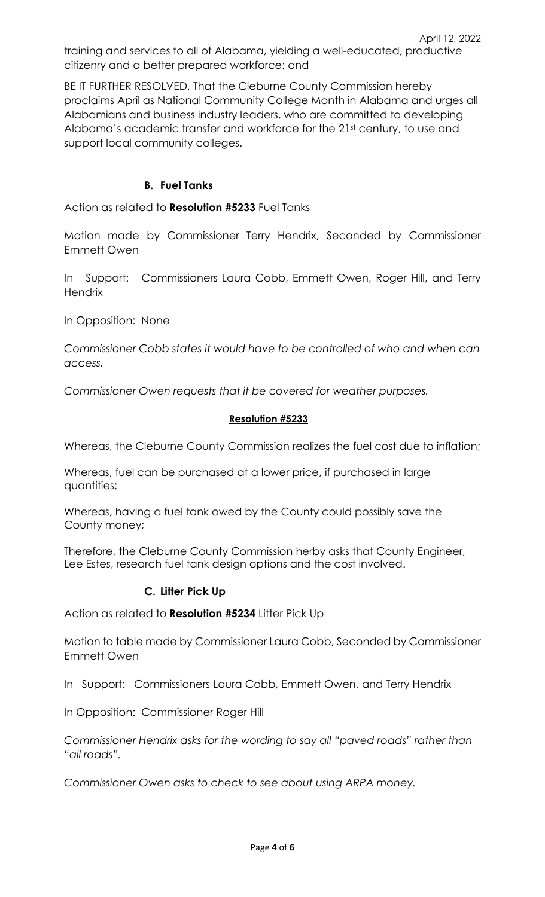BE IT FURTHER RESOLVED, That the Cleburne County Commission hereby proclaims April as National Community College Month in Alabama and urges all Alabamians and business industry leaders, who are committed to developing Alabama's academic transfer and workforce for the 21st century, to use and support local community colleges.

# **B. Fuel Tanks**

Action as related to **Resolution #5233** Fuel Tanks

Motion made by Commissioner Terry Hendrix, Seconded by Commissioner Emmett Owen

In Support: Commissioners Laura Cobb, Emmett Owen, Roger Hill, and Terry **Hendrix** 

In Opposition: None

*Commissioner Cobb states it would have to be controlled of who and when can access.*

*Commissioner Owen requests that it be covered for weather purposes.*

## **Resolution #5233**

Whereas, the Cleburne County Commission realizes the fuel cost due to inflation;

Whereas, fuel can be purchased at a lower price, if purchased in large quantities;

Whereas, having a fuel tank owed by the County could possibly save the County money;

Therefore, the Cleburne County Commission herby asks that County Engineer, Lee Estes, research fuel tank design options and the cost involved.

## **C. Litter Pick Up**

Action as related to **Resolution #5234** Litter Pick Up

Motion to table made by Commissioner Laura Cobb, Seconded by Commissioner Emmett Owen

In Support: Commissioners Laura Cobb, Emmett Owen, and Terry Hendrix

In Opposition: Commissioner Roger Hill

*Commissioner Hendrix asks for the wording to say all "paved roads" rather than "all roads".*

*Commissioner Owen asks to check to see about using ARPA money.*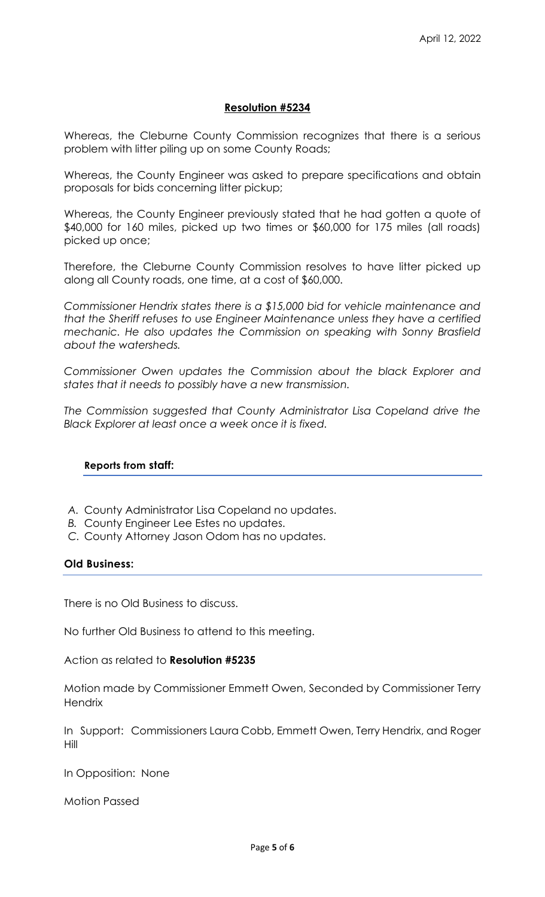#### **Resolution #5234**

Whereas, the Cleburne County Commission recognizes that there is a serious problem with litter piling up on some County Roads;

Whereas, the County Engineer was asked to prepare specifications and obtain proposals for bids concerning litter pickup;

Whereas, the County Engineer previously stated that he had gotten a quote of \$40,000 for 160 miles, picked up two times or \$60,000 for 175 miles (all roads) picked up once;

Therefore, the Cleburne County Commission resolves to have litter picked up along all County roads, one time, at a cost of \$60,000.

*Commissioner Hendrix states there is a \$15,000 bid for vehicle maintenance and that the Sheriff refuses to use Engineer Maintenance unless they have a certified mechanic. He also updates the Commission on speaking with Sonny Brasfield about the watersheds.* 

*Commissioner Owen updates the Commission about the black Explorer and states that it needs to possibly have a new transmission.*

*The Commission suggested that County Administrator Lisa Copeland drive the Black Explorer at least once a week once it is fixed.*

#### **Reports from staff:**

- *A.* County Administrator Lisa Copeland no updates.
- *B.* County Engineer Lee Estes no updates.
- *C.* County Attorney Jason Odom has no updates.

#### **Old Business:**

There is no Old Business to discuss.

No further Old Business to attend to this meeting.

Action as related to **Resolution #5235**

Motion made by Commissioner Emmett Owen, Seconded by Commissioner Terry **Hendrix** 

In Support: Commissioners Laura Cobb, Emmett Owen, Terry Hendrix, and Roger Hill

In Opposition: None

Motion Passed